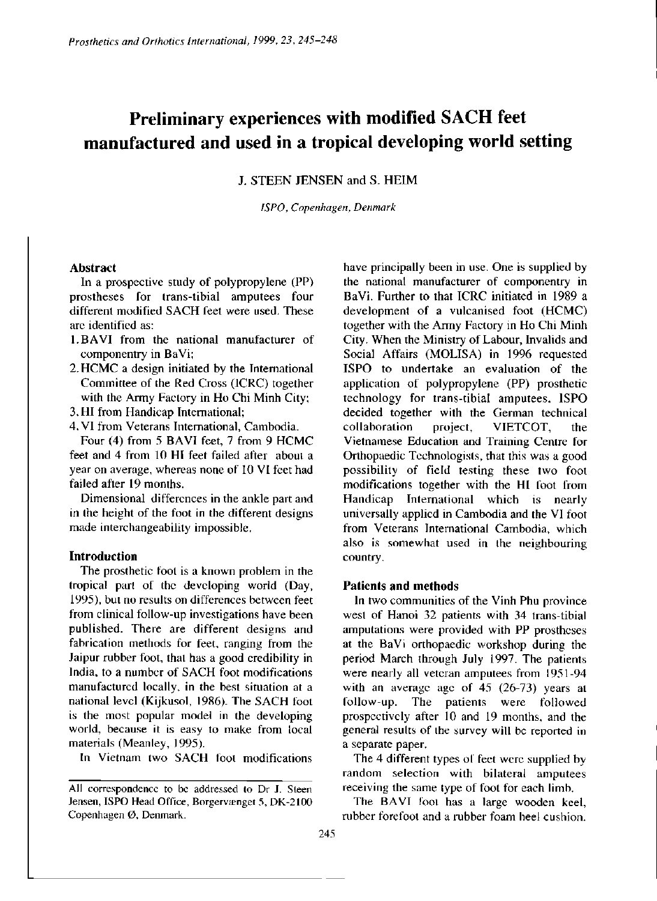# **Preliminary experiences with modified SACH feet manufactured and used in a tropical developing world setting**

J. STEEN JENSEN and S. HEIM

*ISPO, Copenhagen, Denmark* 

# **Abstract**

In a prospective study of polypropylene (PP) prostheses for trans-tibial amputees four different modified SACH feet were used. These are identified as:

- 1. BAVI from the national manufacturer of componentry in BaVi;
- 2. HCMC a design initiated by the International Committee of the Red Cross (ICRC) together with the Army Factory in Ho Chi Minh City;
- 3. HI from Handicap International;
- 4. VI from Veterans International, Cambodia.

Four (4) from 5 BAVI feet, 7 from 9 HCMC feet and 4 from 10 HI feet failed after about a year on average, whereas none of 10 VI feet had failed after 19 months.

Dimensional differences in the ankle part and in the height of the foot in the different designs made interchangeability impossible.

### **Introduction**

The prosthetic foot is a known problem in the tropical part of the developing world (Day, 1995), but no results on differences between feet from clinical follow-up investigations have been published. There are different designs and fabrication methods for feet, ranging from the Jaipur rubber foot, that has a good credibility in India, to a number of SACH foot modifications manufactured locally, in the best situation at a national level (Kijkusol, 1986). The SACH foot is the most popular model in the developing world, because it is easy to make from local materials (Meanley, 1995).

In Vietnam two SACH foot modifications

have principally been in use. One is supplied by the national manufacturer of componentry in BaVi. Further to that ICRC initiated in 1989 a development of a vulcanised foot (HCMC) together with the Army Factory in Ho Chi Minh City. When the Ministry of Labour, Invalids and Social Affairs (MOLISA) in 1996 requested ISPO to undertake an evaluation of the application of polypropylene (PP) prosthetic technology for trans-tibial amputees, ISPO decided together with the German technical collaboration project, VIETCOT, the Vietnamese Education and Training Centre for Orthopaedic Technologists, that this was a good possibility of field testing these two foot modifications together with the HI foot from Handicap International which is nearly universally applied in Cambodia and the VI foot from Veterans International Cambodia, which also is somewhat used in the neighbouring country.

# **Patients and methods**

In two communities of the Vinh Phu province west of Hanoi 32 patients with 34 trans-tibial amputations were provided with PP prostheses at the BaVi orthopaedic workshop during the period March through July 1997. The patients were nearly all veteran amputees from 1951-94 with an average age of 45 (26-73) years at follow-up. The patients were followed prospectively after 10 and 19 months, and the general results of the survey will be reported in a separate paper.

The 4 different types of feet were supplied by random selection with bilateral amputees receiving the same type of foot for each limb.

The BAVI foot has a large wooden keel, rubber forefoot and a rubber foam heel cushion.

All correspondence to be addressed to Dr J. Steen Jensen, ISPO Head Office, Borgervænget 5, DK-2100 Copenhagen Ø, Denmark.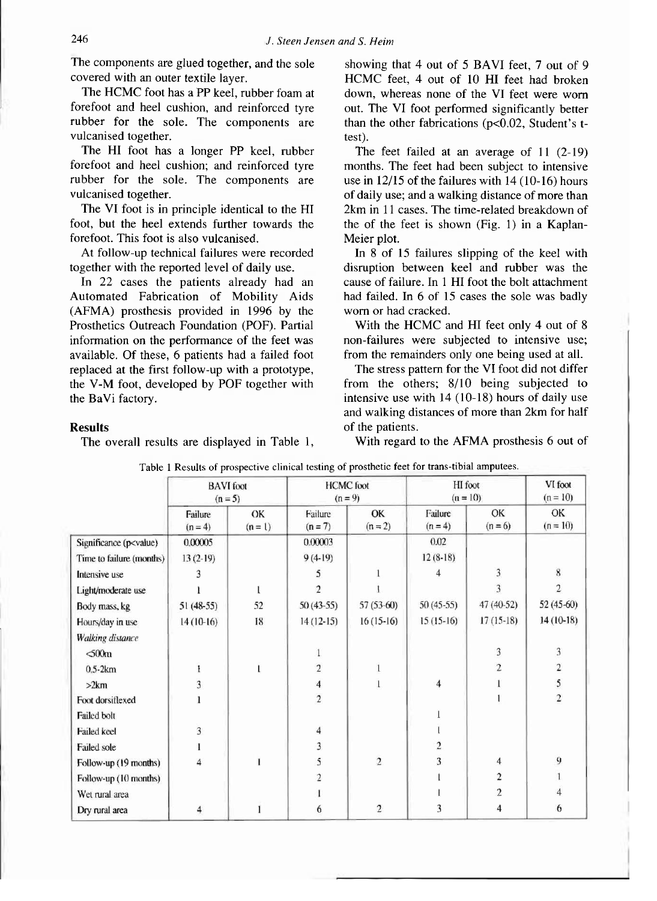The components are glued together, and the sole covered with an outer textile layer.

The HCMC foot has a PP keel, rubber foam at forefoot and heel cushion, and reinforced tyre rubber for the sole. The components are vulcanised together.

The HI foot has a longer PP keel, rubber forefoot and heel cushion; and reinforced tyre rubber for the sole. The components are vulcanised together.

The VI foot is in principle identical to the HI foot, but the heel extends further towards the forefoot. This foot is also vulcanised.

At follow-up technical failures were recorded together with the reported level of daily use.

In 22 cases the patients already had an Automated Fabrication of Mobility Aids (AFMA) prosthesis provided in 1996 by the Prosthetics Outreach Foundation (POF). Partial information on the performance of the feet was available. Of these, 6 patients had a failed foot replaced at the first follow-up with a prototype, the V-M foot, developed by POF together with the BaVi factory.

showing that 4 out of 5 BAVI feet, 7 out of 9 HCMC feet, 4 out of 10 HI feet had broken down, whereas none of the VI feet were worn out. The VI foot performed significantly better than the other fabrications (p<0.02, Student's ttest).

The feet failed at an average of 11 (2-19) months. The feet had been subject to intensive use in 12/15 of the failures with 14 (10-16) hours of daily use; and a walking distance of more than 2km in 11 cases. The time-related breakdown of the of the feet is shown (Fig. 1) in a Kaplan-Meier plot.

In 8 of 15 failures slipping of the keel with disruption between keel and rubber was the cause of failure. In 1 HI foot the bolt attachment had failed. In 6 of 15 cases the sole was badly worn or had cracked.

With the HCMC and HI feet only 4 out of 8 non-failures were subjected to intensive use; from the remainders only one being used at all.

The stress pattern for the VI foot did not differ from the others; 8/10 being subjected to intensive use with 14 (10-18) hours of daily use and walking distances of more than 2km for half of the patients.

#### **Results**

The overall results are displayed in Table 1,

With regard to the AFMA prosthesis 6 out of

|                                                                                                                            | <b>BAVI</b> foot<br>$(n = 5)$ |                 | <b>HCMC</b> foot<br>$(n = 9)$ |                 | HI foot<br>$(n = 10)$   |                 | VI foot<br>$(n = 10)$   |
|----------------------------------------------------------------------------------------------------------------------------|-------------------------------|-----------------|-------------------------------|-----------------|-------------------------|-----------------|-------------------------|
|                                                                                                                            | Failure<br>$(n = 4)$          | OK<br>$(n = 1)$ | Failure<br>$(n = 7)$          | OK<br>$(n = 2)$ | Failure<br>$(n = 4)$    | OK<br>$(n = 6)$ | OK<br>$(n = 10)$        |
| Significance (p <value)< td=""><td>0.00005</td><td></td><td>0.00003</td><td></td><td>0.02</td><td></td><td></td></value)<> | 0.00005                       |                 | 0.00003                       |                 | 0.02                    |                 |                         |
| Time to failure (months)                                                                                                   | $13(2-19)$                    |                 | $9(4-19)$                     |                 | $12(8-18)$              |                 |                         |
| Intensive use                                                                                                              |                               |                 |                               |                 |                         | 3               | 8                       |
| Light/moderate use                                                                                                         |                               | L               | $\mathcal{F}$                 |                 |                         | 3               | $\overline{2}$          |
| Body mass, kg                                                                                                              | $51(48-55)$                   | 52              | $50(43-55)$                   | $57(53-60)$     | $50(45-55)$             | 47 (40-52)      | 52 (45-60)              |
| Hours/day in use                                                                                                           | $14(10-16)$                   | 18              | $14(12-15)$                   | $16(15-16)$     | $15(15-16)$             | $17(15-18)$     | 14 (10-18)              |
| Walking distance                                                                                                           |                               |                 |                               |                 |                         |                 |                         |
| $500m$                                                                                                                     |                               |                 |                               |                 |                         | 3               | 3                       |
| $0.5-2km$                                                                                                                  | ł                             |                 | $\overline{2}$                | 1               |                         | $\overline{c}$  | $\overline{\mathbf{c}}$ |
| >2km                                                                                                                       | 3                             |                 | 4                             | 1               | $\overline{\mathbf{4}}$ |                 | 5                       |
| Foot dorsiflexed                                                                                                           |                               |                 | $\overline{2}$                |                 |                         |                 | $\overline{c}$          |
| <b>Failed bolt</b>                                                                                                         |                               |                 |                               |                 |                         |                 |                         |
| Failed keel                                                                                                                | 3                             |                 | 4                             |                 |                         |                 |                         |
| <b>Failed sole</b>                                                                                                         |                               |                 | 3                             |                 | 2                       |                 |                         |
| Follow-up (19 months)                                                                                                      | 4                             |                 | 5                             | $\overline{2}$  | 3                       | 4               | 9                       |
| Follow-up (10 months)                                                                                                      |                               |                 | 2                             |                 |                         | 2               |                         |
| Wet rural area                                                                                                             |                               |                 |                               |                 |                         | $\overline{2}$  |                         |
| Dry rural area                                                                                                             | 4                             |                 | 6                             | $\overline{c}$  | 3                       | 4               | 6                       |

Table 1 Results of prospective clinical testing of prosthetic feet for trans-tibial amputees.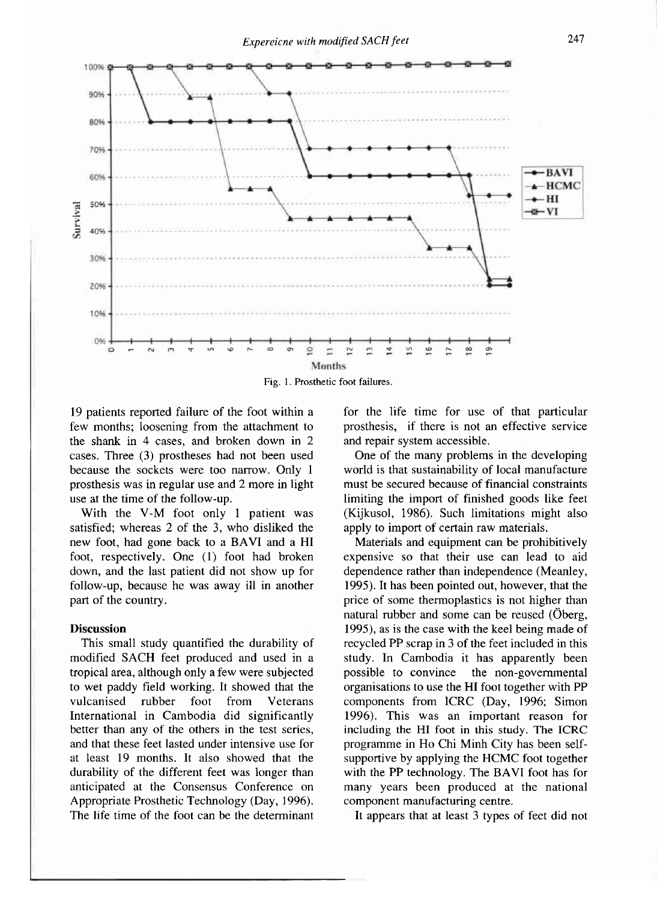

Fig. 1. Prosthetic foot failures.

19 patients reported failure of the foot within a few months; loosening from the attachment to the shank in 4 cases, and broken down in 2 cases. Three (3) prostheses had not been used because the sockets were too narrow. Only 1 prosthesis was in regular use and 2 more in light use at the time of the follow-up.

With the V-M foot only 1 patient was satisfied; whereas 2 of the 3, who disliked the new foot, had gone back to a BAVI and a HI foot, respectively. One (1) foot had broken down, and the last patient did not show up for follow-up, because he was away ill in another part of the country.

#### **Discussion**

This small study quantified the durability of modified SACH feet produced and used in a tropical area, although only a few were subjected to wet paddy field working. It showed that the vulcanised rubber foot from Veterans International in Cambodia did significantly better than any of the others in the test series, and that these feet lasted under intensive use for at least 19 months. It also showed that the durability of the different feet was longer than anticipated at the Consensus Conference on Appropriate Prosthetic Technology (Day, 1996). The life time of the foot can be the determinant

for the life time for use of that particular prosthesis, if there is not an effective service and repair system accessible.

One of the many problems in the developing world is that sustainability of local manufacture must be secured because of financial constraints limiting the import of finished goods like feet (Kijkusol, 1986). Such limitations might also apply to import of certain raw materials.

Materials and equipment can be prohibitively expensive so that their use can lead to aid dependence rather than independence (Meanley, 1995). It has been pointed out, however, that the price of some thermoplastics is not higher than natural rubber and some can be reused (Öberg, 1995), as is the case with the keel being made of recycled PP scrap in 3 of the feet included in this study. In Cambodia it has apparently been possible to convince the non-governmental organisations to use the HI foot together with PP components from ICRC (Day, 1996; Simon 1996). This was an important reason for including the HI foot in this study. The ICRC programme in Ho Chi Minh City has been selfsupportive by applying the HCMC foot together with the PP technology. The BAVI foot has for many years been produced at the national component manufacturing centre.

It appears that at least 3 types of feet did not